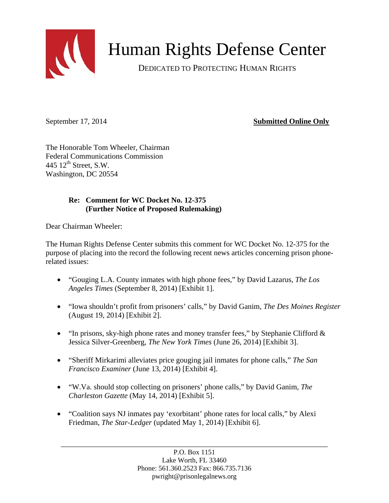

Human Rights Defense Center

DEDICATED TO PROTECTING HUMAN RIGHTS

September 17, 2014 **Submitted Online Only** 

The Honorable Tom Wheeler, Chairman Federal Communications Commission 445  $12^{\text{th}}$  Street, S.W. Washington, DC 20554

# **Re: Comment for WC Docket No. 12-375 (Further Notice of Proposed Rulemaking)**

Dear Chairman Wheeler:

The Human Rights Defense Center submits this comment for WC Docket No. 12-375 for the purpose of placing into the record the following recent news articles concerning prison phonerelated issues:

- "Gouging L.A. County inmates with high phone fees," by David Lazarus, *The Los Angeles Times* (September 8, 2014) [Exhibit 1].
- "Iowa shouldn't profit from prisoners' calls," by David Ganim, *The Des Moines Register* (August 19, 2014) [Exhibit 2].
- "In prisons, sky-high phone rates and money transfer fees," by Stephanie Clifford  $\&$ Jessica Silver-Greenberg, *The New York Times* (June 26, 2014) [Exhibit 3].
- "Sheriff Mirkarimi alleviates price gouging jail inmates for phone calls," *The San Francisco Examiner* (June 13, 2014) [Exhibit 4].
- "W.Va. should stop collecting on prisoners' phone calls," by David Ganim, *The Charleston Gazette* (May 14, 2014) [Exhibit 5].
- "Coalition says NJ inmates pay 'exorbitant' phone rates for local calls," by Alexi Friedman, *The Star-Ledger* (updated May 1, 2014) [Exhibit 6].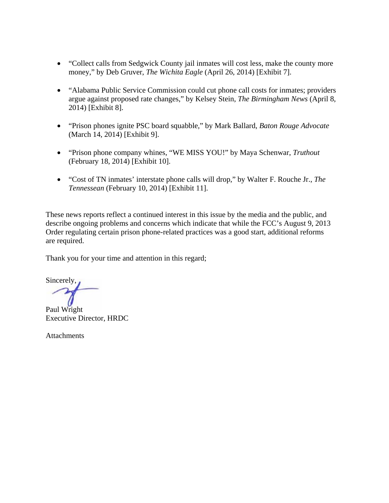- "Collect calls from Sedgwick County jail inmates will cost less, make the county more money," by Deb Gruver, *The Wichita Eagle* (April 26, 2014) [Exhibit 7].
- "Alabama Public Service Commission could cut phone call costs for inmates; providers argue against proposed rate changes," by Kelsey Stein, *The Birmingham News* (April 8, 2014) [Exhibit 8].
- "Prison phones ignite PSC board squabble," by Mark Ballard, *Baton Rouge Advocate*  (March 14, 2014) [Exhibit 9].
- "Prison phone company whines, "WE MISS YOU!" by Maya Schenwar, *Truthout*  (February 18, 2014) [Exhibit 10].
- "Cost of TN inmates' interstate phone calls will drop," by Walter F. Rouche Jr., *The Tennessean* (February 10, 2014) [Exhibit 11].

These news reports reflect a continued interest in this issue by the media and the public, and describe ongoing problems and concerns which indicate that while the FCC's August 9, 2013 Order regulating certain prison phone-related practices was a good start, additional reforms are required.

Thank you for your time and attention in this regard;

Sincerely,

Paul Wright Executive Director, HRDC

**Attachments**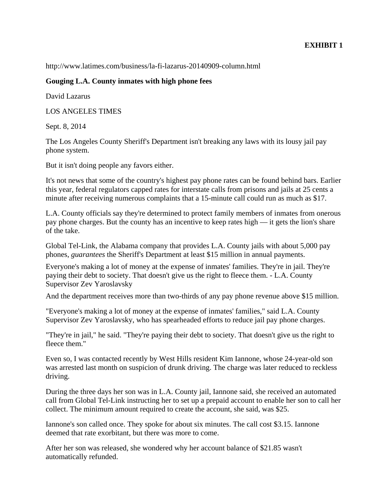# **EXHIBIT 1**

http://www.latimes.com/business/la-fi-lazarus-20140909-column.html

#### **Gouging L.A. County inmates with high phone fees**

David Lazarus

#### LOS ANGELES TIMES

Sept. 8, 2014

The Los Angeles County Sheriff's Department isn't breaking any laws with its lousy jail pay phone system.

But it isn't doing people any favors either.

It's not news that some of the country's highest pay phone rates can be found behind bars. Earlier this year, federal regulators capped rates for interstate calls from prisons and jails at 25 cents a minute after receiving numerous complaints that a 15-minute call could run as much as \$17.

L.A. County officials say they're determined to protect family members of inmates from onerous pay phone charges. But the county has an incentive to keep rates high — it gets the lion's share of the take.

Global Tel-Link, the Alabama company that provides L.A. County jails with about 5,000 pay phones, *guarantees* the Sheriff's Department at least \$15 million in annual payments.

Everyone's making a lot of money at the expense of inmates' families. They're in jail. They're paying their debt to society. That doesn't give us the right to fleece them. - L.A. County Supervisor Zev Yaroslavsky

And the department receives more than two-thirds of any pay phone revenue above \$15 million.

"Everyone's making a lot of money at the expense of inmates' families," said L.A. County Supervisor Zev Yaroslavsky, who has spearheaded efforts to reduce jail pay phone charges.

"They're in jail," he said. "They're paying their debt to society. That doesn't give us the right to fleece them."

Even so, I was contacted recently by West Hills resident Kim Iannone, whose 24-year-old son was arrested last month on suspicion of drunk driving. The charge was later reduced to reckless driving.

During the three days her son was in L.A. County jail, Iannone said, she received an automated call from Global Tel-Link instructing her to set up a prepaid account to enable her son to call her collect. The minimum amount required to create the account, she said, was \$25.

Iannone's son called once. They spoke for about six minutes. The call cost \$3.15. Iannone deemed that rate exorbitant, but there was more to come.

After her son was released, she wondered why her account balance of \$21.85 wasn't automatically refunded.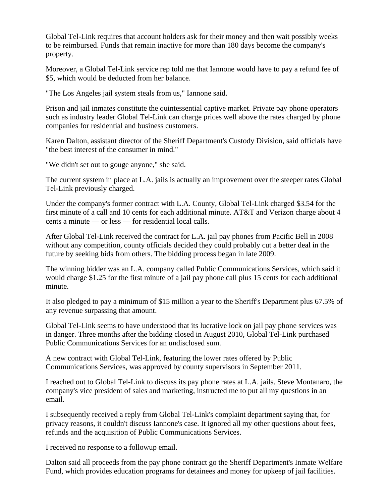Global Tel-Link requires that account holders ask for their money and then wait possibly weeks to be reimbursed. Funds that remain inactive for more than 180 days become the company's property.

Moreover, a Global Tel-Link service rep told me that Iannone would have to pay a refund fee of \$5, which would be deducted from her balance.

"The Los Angeles jail system steals from us," Iannone said.

Prison and jail inmates constitute the quintessential captive market. Private pay phone operators such as industry leader Global Tel-Link can charge prices well above the rates charged by phone companies for residential and business customers.

Karen Dalton, assistant director of the Sheriff Department's Custody Division, said officials have "the best interest of the consumer in mind."

"We didn't set out to gouge anyone," she said.

The current system in place at L.A. jails is actually an improvement over the steeper rates Global Tel-Link previously charged.

Under the company's former contract with L.A. County, Global Tel-Link charged \$3.54 for the first minute of a call and 10 cents for each additional minute. AT&T and Verizon charge about 4 cents a minute — or less — for residential local calls.

After Global Tel-Link received the contract for L.A. jail pay phones from Pacific Bell in 2008 without any competition, county officials decided they could probably cut a better deal in the future by seeking bids from others. The bidding process began in late 2009.

The winning bidder was an L.A. company called Public Communications Services, which said it would charge \$1.25 for the first minute of a jail pay phone call plus 15 cents for each additional minute.

It also pledged to pay a minimum of \$15 million a year to the Sheriff's Department plus 67.5% of any revenue surpassing that amount.

Global Tel-Link seems to have understood that its lucrative lock on jail pay phone services was in danger. Three months after the bidding closed in August 2010, Global Tel-Link purchased Public Communications Services for an undisclosed sum.

A new contract with Global Tel-Link, featuring the lower rates offered by Public Communications Services, was approved by county supervisors in September 2011.

I reached out to Global Tel-Link to discuss its pay phone rates at L.A. jails. Steve Montanaro, the company's vice president of sales and marketing, instructed me to put all my questions in an email.

I subsequently received a reply from Global Tel-Link's complaint department saying that, for privacy reasons, it couldn't discuss Iannone's case. It ignored all my other questions about fees, refunds and the acquisition of Public Communications Services.

I received no response to a followup email.

Dalton said all proceeds from the pay phone contract go the Sheriff Department's Inmate Welfare Fund, which provides education programs for detainees and money for upkeep of jail facilities.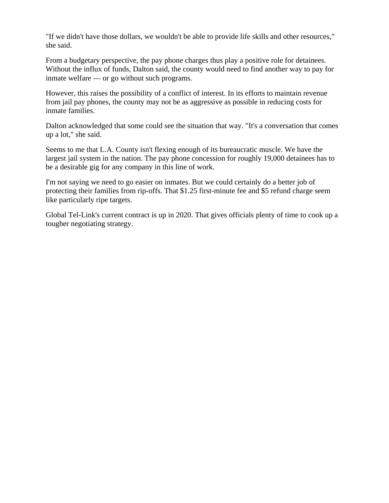"If we didn't have those dollars, we wouldn't be able to provide life skills and other resources," she said.

From a budgetary perspective, the pay phone charges thus play a positive role for detainees. Without the influx of funds, Dalton said, the county would need to find another way to pay for inmate welfare — or go without such programs.

However, this raises the possibility of a conflict of interest. In its efforts to maintain revenue from jail pay phones, the county may not be as aggressive as possible in reducing costs for inmate families.

Dalton acknowledged that some could see the situation that way. "It's a conversation that comes up a lot," she said.

Seems to me that L.A. County isn't flexing enough of its bureaucratic muscle. We have the largest jail system in the nation. The pay phone concession for roughly 19,000 detainees has to be a desirable gig for any company in this line of work.

I'm not saying we need to go easier on inmates. But we could certainly do a better job of protecting their families from rip-offs. That \$1.25 first-minute fee and \$5 refund charge seem like particularly ripe targets.

Global Tel-Link's current contract is up in 2020. That gives officials plenty of time to cook up a tougher negotiating strategy.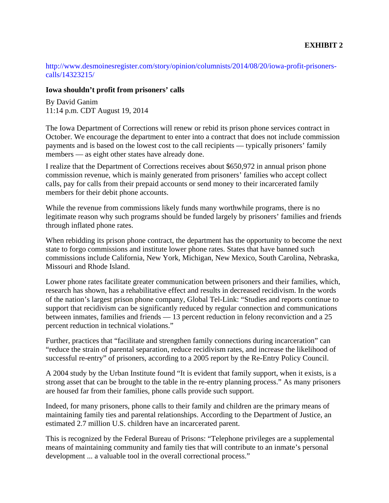[http://www.desmoinesregister.com/story/opinion/columnists/2014/08/20/iowa-profit-prisoners](http://www.desmoinesregister.com/story/opinion/columnists/2014/08/20/iowa-profit-prisoners-calls/14323215/)[calls/14323215/](http://www.desmoinesregister.com/story/opinion/columnists/2014/08/20/iowa-profit-prisoners-calls/14323215/)

#### **Iowa shouldn't profit from prisoners' calls**

By David Ganim 11:14 p.m. CDT August 19, 2014

The Iowa Department of Corrections will renew or rebid its prison phone services contract in October. We encourage the department to enter into a contract that does not include commission payments and is based on the lowest cost to the call recipients — typically prisoners' family members — as eight other states have already done.

I realize that the Department of Corrections receives about \$650,972 in annual prison phone commission revenue, which is mainly generated from prisoners' families who accept collect calls, pay for calls from their prepaid accounts or send money to their incarcerated family members for their debit phone accounts.

While the revenue from commissions likely funds many worthwhile programs, there is no legitimate reason why such programs should be funded largely by prisoners' families and friends through inflated phone rates.

When rebidding its prison phone contract, the department has the opportunity to become the next state to forgo commissions and institute lower phone rates. States that have banned such commissions include California, New York, Michigan, New Mexico, South Carolina, Nebraska, Missouri and Rhode Island.

Lower phone rates facilitate greater communication between prisoners and their families, which, research has shown, has a rehabilitative effect and results in decreased recidivism. In the words of the nation's largest prison phone company, Global Tel-Link: "Studies and reports continue to support that recidivism can be significantly reduced by regular connection and communications between inmates, families and friends — 13 percent reduction in felony reconviction and a 25 percent reduction in technical violations."

Further, practices that "facilitate and strengthen family connections during incarceration" can "reduce the strain of parental separation, reduce recidivism rates, and increase the likelihood of successful re-entry" of prisoners, according to a 2005 report by the Re-Entry Policy Council.

A 2004 study by the Urban Institute found "It is evident that family support, when it exists, is a strong asset that can be brought to the table in the re-entry planning process." As many prisoners are housed far from their families, phone calls provide such support.

Indeed, for many prisoners, phone calls to their family and children are the primary means of maintaining family ties and parental relationships. According to the Department of Justice, an estimated 2.7 million U.S. children have an incarcerated parent.

This is recognized by the Federal Bureau of Prisons: "Telephone privileges are a supplemental means of maintaining community and family ties that will contribute to an inmate's personal development ... a valuable tool in the overall correctional process."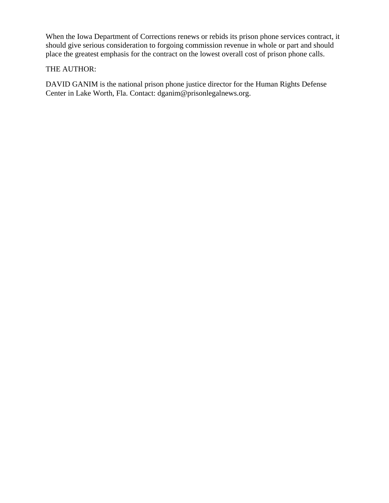When the Iowa Department of Corrections renews or rebids its prison phone services contract, it should give serious consideration to forgoing commission revenue in whole or part and should place the greatest emphasis for the contract on the lowest overall cost of prison phone calls.

# THE AUTHOR:

DAVID GANIM is the national prison phone justice director for the Human Rights Defense Center in Lake Worth, Fla. Contact: dganim@prisonlegalnews.org.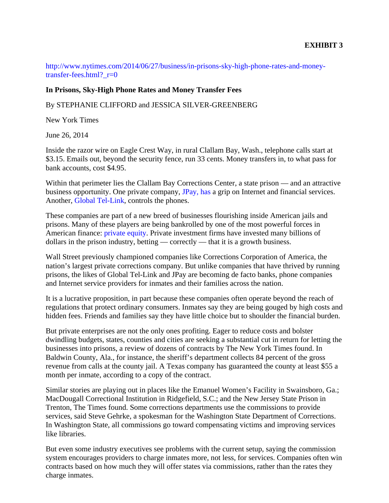[http://www.nytimes.com/2014/06/27/business/in-prisons-sky-high-phone-rates-and-money](http://www.nytimes.com/2014/06/27/business/in-prisons-sky-high-phone-rates-and-money-transfer-fees.html?_r=0)transfer-fees.html? $r=0$ 

#### **In Prisons, Sky-High Phone Rates and Money Transfer Fees**

By STEPHANIE CLIFFORD and JESSICA SILVER-GREENBERG

New York Times

June 26, 2014

Inside the razor wire on Eagle Crest Way, in rural Clallam Bay, Wash., telephone calls start at \$3.15. Emails out, beyond the security fence, run 33 cents. Money transfers in, to what pass for bank accounts, cost \$4.95.

Within that perimeter lies the Clallam Bay Corrections Center, a state prison — and an attractive business opportunity. One private company, [JPay, has](http://www.jpay.com/) a grip on Internet and financial services. Another, [Global Tel-Link,](http://www.gtl.net/) controls the phones.

These companies are part of a new breed of businesses flourishing inside American jails and prisons. Many of these players are being bankrolled by one of the most powerful forces in American finance: [private equity](http://topics.nytimes.com/top/reference/timestopics/subjects/p/private_equity/index.html?inline=nyt-classifier). Private investment firms have invested many billions of dollars in the prison industry, betting — correctly — that it is a growth business.

Wall Street previously championed companies like Corrections Corporation of America, the nation's largest private corrections company. But unlike companies that have thrived by running prisons, the likes of Global Tel-Link and JPay are becoming de facto banks, phone companies and Internet service providers for inmates and their families across the nation.

It is a lucrative proposition, in part because these companies often operate beyond the reach of regulations that protect ordinary consumers. Inmates say they are being gouged by high costs and hidden fees. Friends and families say they have little choice but to shoulder the financial burden.

But private enterprises are not the only ones profiting. Eager to reduce costs and bolster dwindling budgets, states, counties and cities are seeking a substantial cut in return for letting the businesses into prisons, a review of dozens of contracts by The New York Times found. In Baldwin County, Ala., for instance, the sheriff's department collects 84 percent of the gross revenue from calls at the county jail. A Texas company has guaranteed the county at least \$55 a month per inmate, according to a copy of the contract.

Similar stories are playing out in places like the Emanuel Women's Facility in Swainsboro, Ga.; MacDougall Correctional Institution in Ridgefield, S.C.; and the New Jersey State Prison in Trenton, The Times found. Some corrections departments use the commissions to provide services, said Steve Gehrke, a spokesman for the Washington State Department of Corrections. In Washington State, all commissions go toward compensating victims and improving services like libraries.

But even some industry executives see problems with the current setup, saying the commission system encourages providers to charge inmates more, not less, for services. Companies often win contracts based on how much they will offer states via commissions, rather than the rates they charge inmates.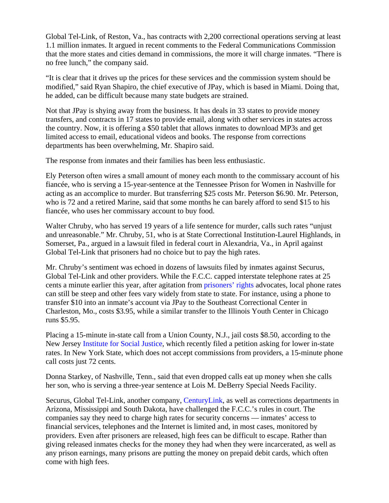Global Tel-Link, of Reston, Va., has contracts with 2,200 correctional operations serving at least 1.1 million inmates. It argued in recent comments to the Federal Communications Commission that the more states and cities demand in commissions, the more it will charge inmates. "There is no free lunch," the company said.

"It is clear that it drives up the prices for these services and the commission system should be modified," said Ryan Shapiro, the chief executive of JPay, which is based in Miami. Doing that, he added, can be difficult because many state budgets are strained.

Not that JPay is shying away from the business. It has deals in 33 states to provide money transfers, and contracts in 17 states to provide email, along with other services in states across the country. Now, it is offering a \$50 tablet that allows inmates to download MP3s and get limited access to email, educational videos and books. The response from corrections departments has been overwhelming, Mr. Shapiro said.

The response from inmates and their families has been less enthusiastic.

Ely Peterson often wires a small amount of money each month to the commissary account of his fiancée, who is serving a 15-year-sentence at the Tennessee Prison for Women in Nashville for acting as an accomplice to murder. But transferring \$25 costs Mr. Peterson \$6.90. Mr. Peterson, who is 72 and a retired Marine, said that some months he can barely afford to send \$15 to his fiancée, who uses her commissary account to buy food.

Walter Chruby, who has served 19 years of a life sentence for murder, calls such rates "unjust" and unreasonable." Mr. Chruby, 51, who is at State Correctional Institution-Laurel Highlands, in Somerset, Pa., argued in a lawsuit filed in federal court in Alexandria, Va., in April against Global Tel-Link that prisoners had no choice but to pay the high rates.

Mr. Chruby's sentiment was echoed in dozens of lawsuits filed by inmates against Securus, Global Tel-Link and other providers. While the F.C.C. capped interstate telephone rates at 25 cents a minute earlier this year, after agitation from [prisoners' rights](https://www.prisonphonejustice.org/) advocates, local phone rates can still be steep and other fees vary widely from state to state. For instance, using a phone to transfer \$10 into an inmate's account via JPay to the Southeast Correctional Center in Charleston, Mo., costs \$3.95, while a similar transfer to the Illinois Youth Center in Chicago runs \$5.95.

Placing a 15-minute in-state call from a Union County, N.J., jail costs \$8.50, according to the New Jersey [Institute for Social Justice,](http://www.njisj.org/) which recently filed a petition asking for lower in-state rates. In New York State, which does not accept commissions from providers, a 15-minute phone call costs just 72 cents.

Donna Starkey, of Nashville, Tenn., said that even dropped calls eat up money when she calls her son, who is serving a three-year sentence at Lois M. DeBerry Special Needs Facility.

Securus, Global Tel-Link, another company, [CenturyLink,](http://topics.nytimes.com/top/news/business/companies/centurytel_inc/index.html?inline=nyt-org) as well as corrections departments in Arizona, Mississippi and South Dakota, have challenged the F.C.C.'s rules in court. The companies say they need to charge high rates for security concerns — inmates' access to financial services, telephones and the Internet is limited and, in most cases, monitored by providers. Even after prisoners are released, high fees can be difficult to escape. Rather than giving released inmates checks for the money they had when they were incarcerated, as well as any prison earnings, many prisons are putting the money on prepaid debit cards, which often come with high fees.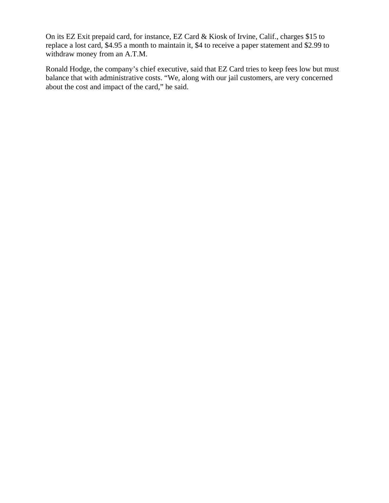On its EZ Exit prepaid card, for instance, EZ Card & Kiosk of Irvine, Calif., charges \$15 to replace a lost card, \$4.95 a month to maintain it, \$4 to receive a paper statement and \$2.99 to withdraw money from an A.T.M.

Ronald Hodge, the company's chief executive, said that EZ Card tries to keep fees low but must balance that with administrative costs. "We, along with our jail customers, are very concerned about the cost and impact of the card," he said.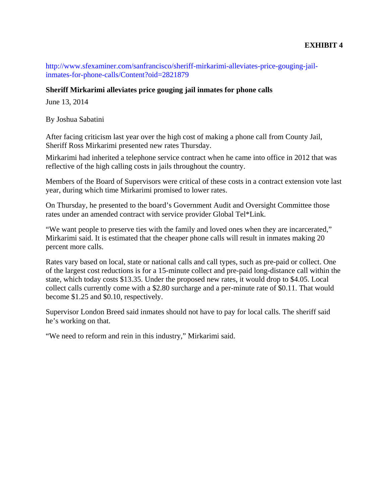[http://www.sfexaminer.com/sanfrancisco/sheriff-mirkarimi-alleviates-price-gouging-jail](http://www.sfexaminer.com/sanfrancisco/sheriff-mirkarimi-alleviates-price-gouging-jail-inmates-for-phone-calls/Content?oid=2821879)[inmates-for-phone-calls/Content?oid=2821879](http://www.sfexaminer.com/sanfrancisco/sheriff-mirkarimi-alleviates-price-gouging-jail-inmates-for-phone-calls/Content?oid=2821879)

#### **Sheriff Mirkarimi alleviates price gouging jail inmates for phone calls**

June 13, 2014

By [Joshua Sabatini](http://www.sfexaminer.com/sanfrancisco/ArticleArchives?author=2124740) 

After facing criticism last year over the high cost of making a phone call from County Jail, Sheriff Ross Mirkarimi presented new rates Thursday.

Mirkarimi had inherited a telephone service contract when he came into office in 2012 that was reflective of the high calling costs in jails throughout the country.

Members of the Board of Supervisors were critical of these costs in a contract extension vote last year, during which time Mirkarimi promised to lower rates.

On Thursday, he presented to the board's Government Audit and Oversight Committee those rates under an amended contract with service provider Global Tel\*Link.

"We want people to preserve ties with the family and loved ones when they are incarcerated," Mirkarimi said. It is estimated that the cheaper phone calls will result in inmates making 20 percent more calls.

Rates vary based on local, state or national calls and call types, such as pre-paid or collect. One of the largest cost reductions is for a 15-minute collect and pre-paid long-distance call within the state, which today costs \$13.35. Under the proposed new rates, it would drop to \$4.05. Local collect calls currently come with a \$2.80 surcharge and a per-minute rate of \$0.11. That would become \$1.25 and \$0.10, respectively.

Supervisor London Breed said inmates should not have to pay for local calls. The sheriff said he's working on that.

"We need to reform and rein in this industry," Mirkarimi said.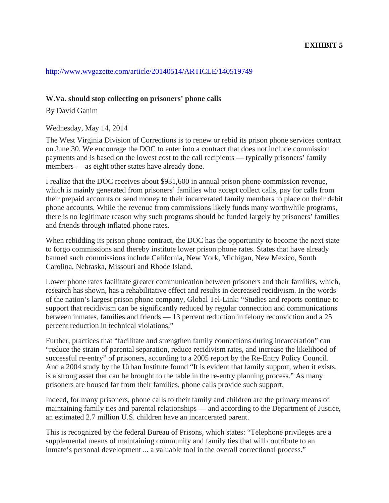# **EXHIBIT 5**

#### <http://www.wvgazette.com/article/20140514/ARTICLE/140519749>

#### **W.Va. should stop collecting on prisoners' phone calls**

By David Ganim

#### Wednesday, May 14, 2014

The West Virginia Division of Corrections is to renew or rebid its prison phone services contract on June 30. We encourage the DOC to enter into a contract that does not include commission payments and is based on the lowest cost to the call recipients — typically prisoners' family members — as eight other states have already done.

I realize that the DOC receives about \$931,600 in annual prison phone commission revenue, which is mainly generated from prisoners' families who accept collect calls, pay for calls from their prepaid accounts or send money to their incarcerated family members to place on their debit phone accounts. While the revenue from commissions likely funds many worthwhile programs, there is no legitimate reason why such programs should be funded largely by prisoners' families and friends through inflated phone rates.

When rebidding its prison phone contract, the DOC has the opportunity to become the next state to forgo commissions and thereby institute lower prison phone rates. States that have already banned such commissions include California, New York, Michigan, New Mexico, South Carolina, Nebraska, Missouri and Rhode Island.

Lower phone rates facilitate greater communication between prisoners and their families, which, research has shown, has a rehabilitative effect and results in decreased recidivism. In the words of the nation's largest prison phone company, Global Tel-Link: "Studies and reports continue to support that recidivism can be significantly reduced by regular connection and communications between inmates, families and friends — 13 percent reduction in felony reconviction and a 25 percent reduction in technical violations."

Further, practices that "facilitate and strengthen family connections during incarceration" can "reduce the strain of parental separation, reduce recidivism rates, and increase the likelihood of successful re-entry" of prisoners, according to a 2005 report by the Re-Entry Policy Council. And a 2004 study by the Urban Institute found "It is evident that family support, when it exists, is a strong asset that can be brought to the table in the re-entry planning process." As many prisoners are housed far from their families, phone calls provide such support.

Indeed, for many prisoners, phone calls to their family and children are the primary means of maintaining family ties and parental relationships — and according to the Department of Justice, an estimated 2.7 million U.S. children have an incarcerated parent.

This is recognized by the federal Bureau of Prisons, which states: "Telephone privileges are a supplemental means of maintaining community and family ties that will contribute to an inmate's personal development ... a valuable tool in the overall correctional process."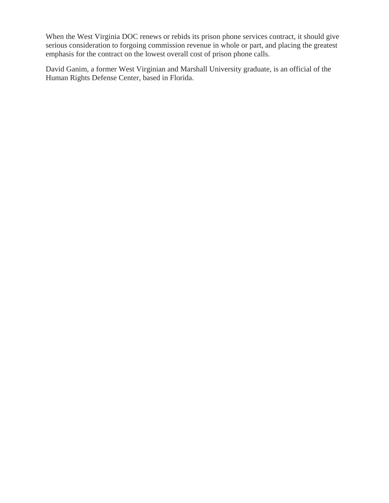When the West Virginia DOC renews or rebids its prison phone services contract, it should give serious consideration to forgoing commission revenue in whole or part, and placing the greatest emphasis for the contract on the lowest overall cost of prison phone calls.

David Ganim, a former West Virginian and Marshall University graduate, is an official of the Human Rights Defense Center, based in Florida.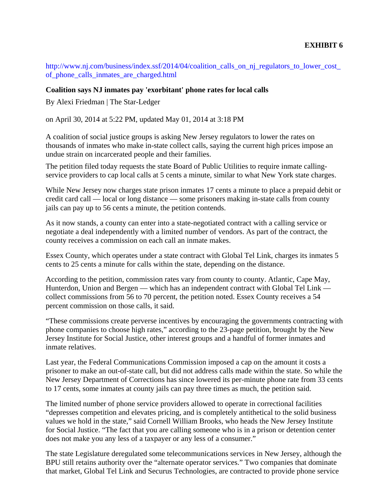[http://www.nj.com/business/index.ssf/2014/04/coalition\\_calls\\_on\\_nj\\_regulators\\_to\\_lower\\_cost\\_](http://www.nj.com/business/index.ssf/2014/04/coalition_calls_on_nj_regulators_to_lower_cost_of_phone_calls_inmates_are_charged.html) [of\\_phone\\_calls\\_inmates\\_are\\_charged.html](http://www.nj.com/business/index.ssf/2014/04/coalition_calls_on_nj_regulators_to_lower_cost_of_phone_calls_inmates_are_charged.html)

#### **Coalition says NJ inmates pay 'exorbitant' phone rates for local calls**

By [Alexi Friedman | The Star-Ledger](http://connect.nj.com/user/afriedma/posts.html) 

on April 30, 2014 at 5:22 PM, updated May 01, 2014 at 3:18 PM

A coalition of social justice groups is asking New Jersey regulators to lower the rates on thousands of inmates who make in-state collect calls, saying the current high prices impose an undue strain on incarcerated people and their families.

The petition filed today requests the state Board of Public Utilities to require inmate callingservice providers to cap local calls at 5 cents a minute, similar to what New York state charges.

While New Jersey now charges state prison inmates 17 cents a minute to place a prepaid debit or credit card call — local or long distance — some prisoners making in-state calls from county jails can pay up to 56 cents a minute, the petition contends.

As it now stands, a county can enter into a state-negotiated contract with a calling service or negotiate a deal independently with a limited number of vendors. As part of the contract, the county receives a commission on each call an inmate makes.

Essex County, which operates under a state contract with Global Tel Link, charges its inmates 5 cents to 25 cents a minute for calls within the state, depending on the distance.

According to the petition, commission rates vary from county to county. Atlantic, Cape May, Hunterdon, Union and Bergen — which has an independent contract with Global Tel Link collect commissions from 56 to 70 percent, the petition noted. Essex County receives a 54 percent commission on those calls, it said.

"These commissions create perverse incentives by encouraging the governments contracting with phone companies to choose high rates," according to the 23-page petition, brought by the New Jersey Institute for Social Justice, other interest groups and a handful of former inmates and inmate relatives.

Last year, the Federal Communications Commission imposed a cap on the amount it costs a prisoner to make an out-of-state call, but did not address calls made within the state. So while the New Jersey Department of Corrections has since lowered its per-minute phone rate from 33 cents to 17 cents, some inmates at county jails can pay three times as much, the petition said.

The limited number of phone service providers allowed to operate in correctional facilities "depresses competition and elevates pricing, and is completely antithetical to the solid business values we hold in the state," said Cornell William Brooks, who heads the New Jersey Institute for Social Justice. "The fact that you are calling someone who is in a prison or detention center does not make you any less of a taxpayer or any less of a consumer."

The state Legislature deregulated some telecommunications services in New Jersey, although the BPU still retains authority over the "alternate operator services." Two companies that dominate that market, Global Tel Link and Securus Technologies, are contracted to provide phone service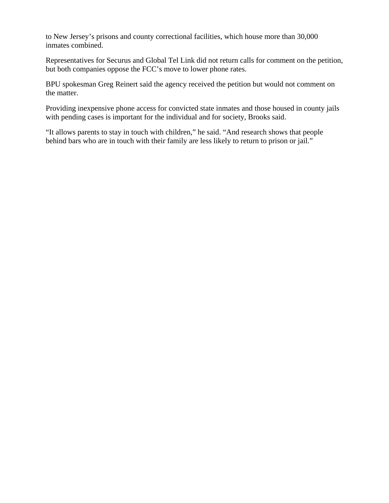to New Jersey's prisons and county correctional facilities, which house more than 30,000 inmates combined.

Representatives for Securus and Global Tel Link did not return calls for comment on the petition, but both companies oppose the FCC's move to lower phone rates.

BPU spokesman Greg Reinert said the agency received the petition but would not comment on the matter.

Providing inexpensive phone access for convicted state inmates and those housed in county jails with pending cases is important for the individual and for society, Brooks said.

"It allows parents to stay in touch with children," he said. "And research shows that people behind bars who are in touch with their family are less likely to return to prison or jail."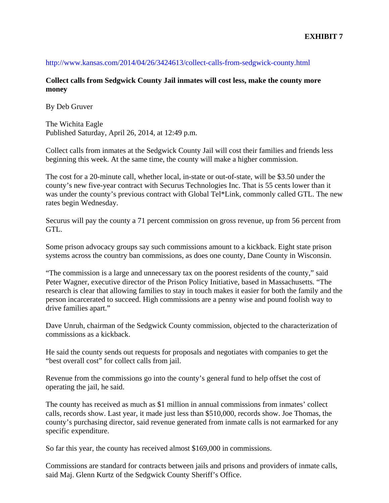#### <http://www.kansas.com/2014/04/26/3424613/collect-calls-from-sedgwick-county.html>

## **Collect calls from Sedgwick County Jail inmates will cost less, make the county more money**

By Deb Gruver

The Wichita Eagle Published Saturday, April 26, 2014, at 12:49 p.m.

Collect calls from inmates at the Sedgwick County Jail will cost their families and friends less beginning this week. At the same time, the county will make a higher commission.

The cost for a 20-minute call, whether local, in-state or out-of-state, will be \$3.50 under the county's new five-year contract with Securus Technologies Inc. That is 55 cents lower than it was under the county's previous contract with Global Tel\*Link, commonly called GTL. The new rates begin Wednesday.

Securus will pay the county a 71 percent commission on gross revenue, up from 56 percent from GTL.

Some prison advocacy groups say such commissions amount to a kickback. Eight state prison systems across the country ban commissions, as does one county, Dane County in Wisconsin.

"The commission is a large and unnecessary tax on the poorest residents of the county," said Peter Wagner, executive director of the Prison Policy Initiative, based in Massachusetts. "The research is clear that allowing families to stay in touch makes it easier for both the family and the person incarcerated to succeed. High commissions are a penny wise and pound foolish way to drive families apart."

Dave Unruh, chairman of the Sedgwick County commission, objected to the characterization of commissions as a kickback.

He said the county sends out requests for proposals and negotiates with companies to get the "best overall cost" for collect calls from jail.

Revenue from the commissions go into the county's general fund to help offset the cost of operating the jail, he said.

The county has received as much as \$1 million in annual commissions from inmates' collect calls, records show. Last year, it made just less than \$510,000, records show. Joe Thomas, the county's purchasing director, said revenue generated from inmate calls is not earmarked for any specific expenditure.

So far this year, the county has received almost \$169,000 in commissions.

Commissions are standard for contracts between jails and prisons and providers of inmate calls, said Maj. Glenn Kurtz of the Sedgwick County Sheriff's Office.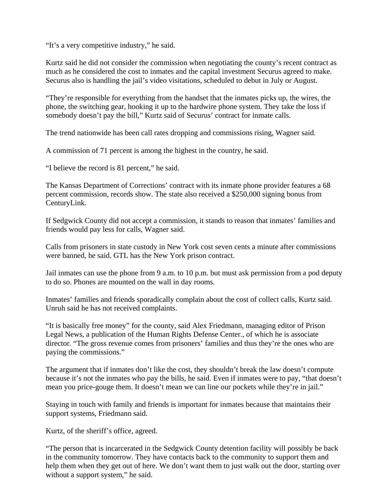"It's a very competitive industry," he said.

Kurtz said he did not consider the commission when negotiating the county's recent contract as much as he considered the cost to inmates and the capital investment Securus agreed to make. Securus also is handling the jail's video visitations, scheduled to debut in July or August.

"They're responsible for everything from the handset that the inmates picks up, the wires, the phone, the switching gear, hooking it up to the hardwire phone system. They take the loss if somebody doesn't pay the bill," Kurtz said of Securus' contract for inmate calls.

The trend nationwide has been call rates dropping and commissions rising, Wagner said.

A commission of 71 percent is among the highest in the country, he said.

"I believe the record is 81 percent," he said.

The Kansas Department of Corrections' contract with its inmate phone provider features a 68 percent commission, records show. The state also received a \$250,000 signing bonus from CenturyLink.

If Sedgwick County did not accept a commission, it stands to reason that inmates' families and friends would pay less for calls, Wagner said.

Calls from prisoners in state custody in New York cost seven cents a minute after commissions were banned, he said. GTL has the New York prison contract.

Jail inmates can use the phone from 9 a.m. to 10 p.m. but must ask permission from a pod deputy to do so. Phones are mounted on the wall in day rooms.

Inmates' families and friends sporadically complain about the cost of collect calls, Kurtz said. Unruh said he has not received complaints.

"It is basically free money" for the county, said Alex Friedmann, managing editor of Prison Legal News, a publication of the Human Rights Defense Center., of which he is associate director. "The gross revenue comes from prisoners' families and thus they're the ones who are paying the commissions."

The argument that if inmates don't like the cost, they shouldn't break the law doesn't compute because it's not the inmates who pay the bills, he said. Even if inmates were to pay, "that doesn't mean you price-gouge them. It doesn't mean we can line our pockets while they're in jail."

Staying in touch with family and friends is important for inmates because that maintains their support systems, Friedmann said.

Kurtz, of the sheriff's office, agreed.

"The person that is incarcerated in the Sedgwick County detention facility will possibly be back in the community tomorrow. They have contacts back to the community to support them and help them when they get out of here. We don't want them to just walk out the door, starting over without a support system," he said.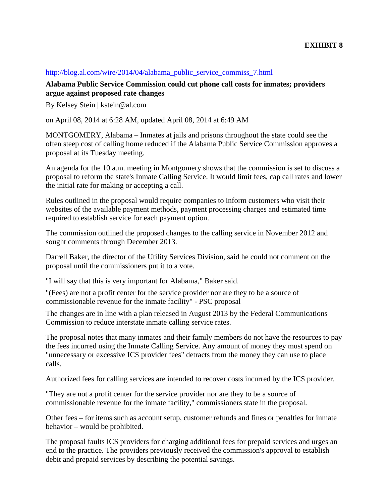#### [http://blog.al.com/wire/2014/04/alabama\\_public\\_service\\_commiss\\_7.html](http://blog.al.com/wire/2014/04/alabama_public_service_commiss_7.html)

## **Alabama Public Service Commission could cut phone call costs for inmates; providers argue against proposed rate changes**

By [Kelsey Stein | kstein@al.com](http://connect.al.com/staff/kelseystein/posts.html) 

on April 08, 2014 at 6:28 AM, updated April 08, 2014 at 6:49 AM

[MONTGOMERY, Alabama](http://www.al.com/montgomery/) – Inmates at jails and prisons throughout the state could see the often steep cost of calling home reduced if the Alabama Public Service Commission approves a proposal at its Tuesday meeting.

An agenda for the 10 a.m. meeting in Montgomery shows that the commission is set to discuss a proposal to reform the state's Inmate Calling Service. It would limit fees, cap call rates and lower the initial rate for making or accepting a call.

Rules outlined in the proposal would require companies to inform customers who visit their websites of the available payment methods, payment processing charges and estimated time required to establish service for each payment option.

The commission outlined the proposed changes to the calling service in November 2012 and sought comments through December 2013.

Darrell Baker, the director of the Utility Services Division, said he could not comment on the proposal until the commissioners put it to a vote.

"I will say that this is very important for Alabama," Baker said.

"(Fees) are not a profit center for the service provider nor are they to be a source of commissionable revenue for the inmate facility" - PSC proposal

The changes are in line with a plan released in August 2013 by the Federal Communications Commission to reduce interstate inmate calling service rates.

The proposal notes that many inmates and their family members do not have the resources to pay the fees incurred using the Inmate Calling Service. Any amount of money they must spend on "unnecessary or excessive ICS provider fees" detracts from the money they can use to place calls.

Authorized fees for calling services are intended to recover costs incurred by the ICS provider.

"They are not a profit center for the service provider nor are they to be a source of commissionable revenue for the inmate facility," commissioners state in the proposal.

Other fees – for items such as account setup, customer refunds and fines or penalties for inmate behavior – would be prohibited.

The proposal faults ICS providers for charging additional fees for prepaid services and urges an end to the practice. The providers previously received the commission's approval to establish debit and prepaid services by describing the potential savings.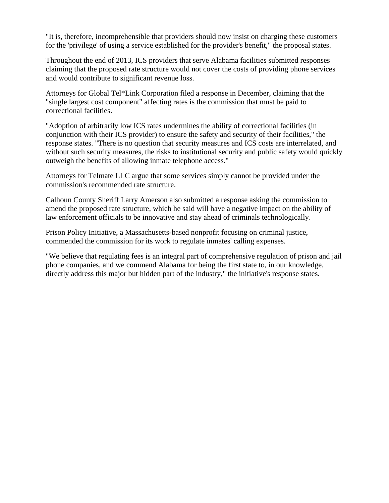"It is, therefore, incomprehensible that providers should now insist on charging these customers for the 'privilege' of using a service established for the provider's benefit," the proposal states.

Throughout the end of 2013, ICS providers that serve Alabama facilities submitted responses claiming that the proposed rate structure would not cover the costs of providing phone services and would contribute to significant revenue loss.

Attorneys for Global Tel\*Link Corporation filed a response in December, claiming that the "single largest cost component" affecting rates is the commission that must be paid to correctional facilities.

"Adoption of arbitrarily low ICS rates undermines the ability of correctional facilities (in conjunction with their ICS provider) to ensure the safety and security of their facilities," the response states. "There is no question that security measures and ICS costs are interrelated, and without such security measures, the risks to institutional security and public safety would quickly outweigh the benefits of allowing inmate telephone access."

Attorneys for Telmate LLC argue that some services simply cannot be provided under the commission's recommended rate structure.

Calhoun County Sheriff Larry Amerson also submitted a response asking the commission to amend the proposed rate structure, which he said will have a negative impact on the ability of law enforcement officials to be innovative and stay ahead of criminals technologically.

Prison Policy Initiative, a Massachusetts-based nonprofit focusing on criminal justice, commended the commission for its work to regulate inmates' calling expenses.

"We believe that regulating fees is an integral part of comprehensive regulation of prison and jail phone companies, and we commend Alabama for being the first state to, in our knowledge, directly address this major but hidden part of the industry," the initiative's response states.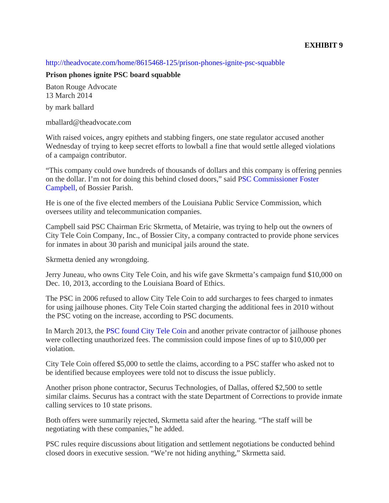# **EXHIBIT 9**

#### <http://theadvocate.com/home/8615468-125/prison-phones-ignite-psc-squabble>

#### **Prison phones ignite PSC board squabble**

Baton Rouge Advocate 13 March 2014 by mark ballard

mballard@theadvocate.com

With raised voices, angry epithets and stabbing fingers, one state regulator accused another Wednesday of trying to keep secret efforts to lowball a fine that would settle alleged violations of a campaign contributor.

"This company could owe hundreds of thousands of dollars and this company is offering pennies on the dollar. I'm not for doing this behind closed doors," said [PSC Commissioner Foster](http://theadvocate.com/home/5257276-125/commissioner-concerned-about-jail-phones)  [Campbell,](http://theadvocate.com/home/5257276-125/commissioner-concerned-about-jail-phones) of Bossier Parish.

He is one of the five elected members of the Louisiana Public Service Commission, which oversees utility and telecommunication companies.

Campbell said PSC Chairman Eric Skrmetta, of Metairie, was trying to help out the owners of City Tele Coin Company, Inc., of Bossier City, a company contracted to provide phone services for inmates in about 30 parish and municipal jails around the state.

Skrmetta denied any wrongdoing.

Jerry Juneau, who owns City Tele Coin, and his wife gave Skrmetta's campaign fund \$10,000 on Dec. 10, 2013, according to the Louisiana Board of Ethics.

The PSC in 2006 refused to allow City Tele Coin to add surcharges to fees charged to inmates for using jailhouse phones. City Tele Coin started charging the additional fees in 2010 without the PSC voting on the increase, according to PSC documents.

In March 2013, the [PSC found City Tele Coin](http://lpscstar.louisiana.gov/star/ViewFile.aspx?Id=1d4cfdae-9965-41ae-9b33-72c2bea9f302) and another private contractor of jailhouse phones were collecting unauthorized fees. The commission could impose fines of up to \$10,000 per violation.

City Tele Coin offered \$5,000 to settle the claims, according to a PSC staffer who asked not to be identified because employees were told not to discuss the issue publicly.

Another prison phone contractor, Securus Technologies, of Dallas, offered \$2,500 to settle similar claims. Securus has a contract with the state Department of Corrections to provide inmate calling services to 10 state prisons.

Both offers were summarily rejected, Skrmetta said after the hearing. "The staff will be negotiating with these companies," he added.

PSC rules require discussions about litigation and settlement negotiations be conducted behind closed doors in executive session. "We're not hiding anything," Skrmetta said.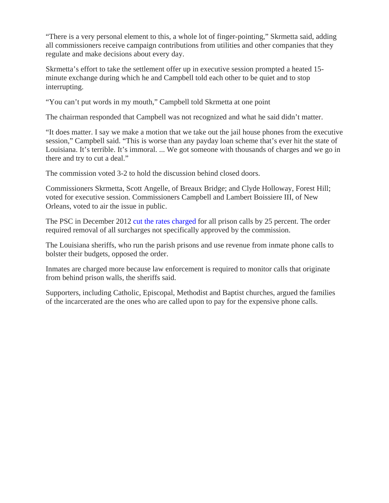"There is a very personal element to this, a whole lot of finger-pointing," Skrmetta said, adding all commissioners receive campaign contributions from utilities and other companies that they regulate and make decisions about every day.

Skrmetta's effort to take the settlement offer up in executive session prompted a heated 15 minute exchange during which he and Campbell told each other to be quiet and to stop interrupting.

"You can't put words in my mouth," Campbell told Skrmetta at one point

The chairman responded that Campbell was not recognized and what he said didn't matter.

"It does matter. I say we make a motion that we take out the jail house phones from the executive session," Campbell said. "This is worse than any payday loan scheme that's ever hit the state of Louisiana. It's terrible. It's immoral. ... We got someone with thousands of charges and we go in there and try to cut a deal."

The commission voted 3-2 to hold the discussion behind closed doors.

Commissioners Skrmetta, Scott Angelle, of Breaux Bridge; and Clyde Holloway, Forest Hill; voted for executive session. Commissioners Campbell and Lambert Boissiere III, of New Orleans, voted to air the issue in public.

The PSC in December 2012 [cut the rates charged](http://theadvocate.com/home/4666375-125/psc-rolls-back-prison-phone) for all prison calls by 25 percent. The order required removal of all surcharges not specifically approved by the commission.

The Louisiana sheriffs, who run the parish prisons and use revenue from inmate phone calls to bolster their budgets, opposed the order.

Inmates are charged more because law enforcement is required to monitor calls that originate from behind prison walls, the sheriffs said.

Supporters, including Catholic, Episcopal, Methodist and Baptist churches, argued the families of the incarcerated are the ones who are called upon to pay for the expensive phone calls.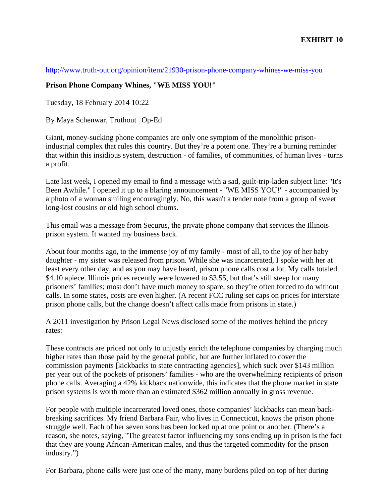<http://www.truth-out.org/opinion/item/21930-prison-phone-company-whines-we-miss-you>

## **Prison Phone Company Whines, "WE MISS YOU!"**

Tuesday, 18 February 2014 10:22

By Maya Schenwar, Truthout | Op-Ed

Giant, money-sucking phone companies are only one symptom of the monolithic prisonindustrial complex that rules this country. But they're a potent one. They're a burning reminder that within this insidious system, destruction - of families, of communities, of human lives - turns a profit.

Late last week, I opened my email to find a message with a sad, guilt-trip-laden subject line: "It's Been Awhile." I opened it up to a blaring announcement - "WE MISS YOU!" - accompanied by a photo of a woman smiling encouragingly. No, this wasn't a tender note from a group of sweet long-lost cousins or old high school chums.

This email was a message from Securus, the private phone company that services the Illinois prison system. It wanted my business back.

About four months ago, to the immense joy of my family - most of all, to the joy of her baby daughter - my sister was released from prison. While she was incarcerated, I spoke with her at least every other day, and as you may have heard, prison phone calls cost a lot. My calls totaled \$4.10 apiece. Illinois prices recently were lowered to \$3.55, but that's still steep for many prisoners' families; most don't have much money to spare, so they're often forced to do without calls. In some states, costs are even higher. (A recent FCC ruling set caps on prices for interstate prison phone calls, but the change doesn't affect calls made from prisons in state.)

A 2011 investigation by Prison Legal News disclosed some of the motives behind the pricey rates:

These contracts are priced not only to unjustly enrich the telephone companies by charging much higher rates than those paid by the general public, but are further inflated to cover the commission payments [kickbacks to state contracting agencies], which suck over \$143 million per year out of the pockets of prisoners' families - who are the overwhelming recipients of prison phone calls. Averaging a 42% kickback nationwide, this indicates that the phone market in state prison systems is worth more than an estimated \$362 million annually in gross revenue.

For people with multiple incarcerated loved ones, those companies' kickbacks can mean backbreaking sacrifices. My friend Barbara Fair, who lives in Connecticut, knows the prison phone struggle well. Each of her seven sons has been locked up at one point or another. (There's a reason, she notes, saying, "The greatest factor influencing my sons ending up in prison is the fact that they are young African-American males, and thus the targeted commodity for the prison industry.")

For Barbara, phone calls were just one of the many, many burdens piled on top of her during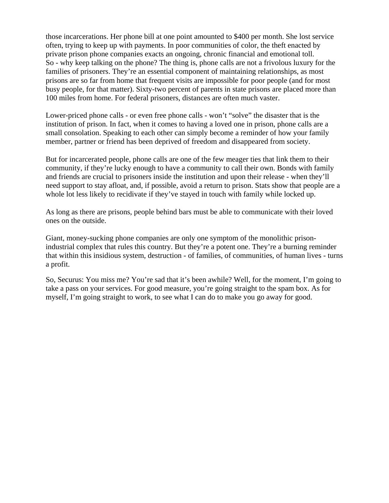those incarcerations. Her phone bill at one point amounted to \$400 per month. She lost service often, trying to keep up with payments. In poor communities of color, the theft enacted by private prison phone companies exacts an ongoing, chronic financial and emotional toll. So - why keep talking on the phone? The thing is, phone calls are not a frivolous luxury for the families of prisoners. They're an essential component of maintaining relationships, as most prisons are so far from home that frequent visits are impossible for poor people (and for most busy people, for that matter). Sixty-two percent of parents in state prisons are placed more than 100 miles from home. For federal prisoners, distances are often much vaster.

Lower-priced phone calls - or even free phone calls - won't "solve" the disaster that is the institution of prison. In fact, when it comes to having a loved one in prison, phone calls are a small consolation. Speaking to each other can simply become a reminder of how your family member, partner or friend has been deprived of freedom and disappeared from society.

But for incarcerated people, phone calls are one of the few meager ties that link them to their community, if they're lucky enough to have a community to call their own. Bonds with family and friends are crucial to prisoners inside the institution and upon their release - when they'll need support to stay afloat, and, if possible, avoid a return to prison. Stats show that people are a whole lot less likely to recidivate if they've stayed in touch with family while locked up.

As long as there are prisons, people behind bars must be able to communicate with their loved ones on the outside.

Giant, money-sucking phone companies are only one symptom of the monolithic prisonindustrial complex that rules this country. But they're a potent one. They're a burning reminder that within this insidious system, destruction - of families, of communities, of human lives - turns a profit.

So, Securus: You miss me? You're sad that it's been awhile? Well, for the moment, I'm going to take a pass on your services. For good measure, you're going straight to the spam box. As for myself, I'm going straight to work, to see what I can do to make you go away for good.